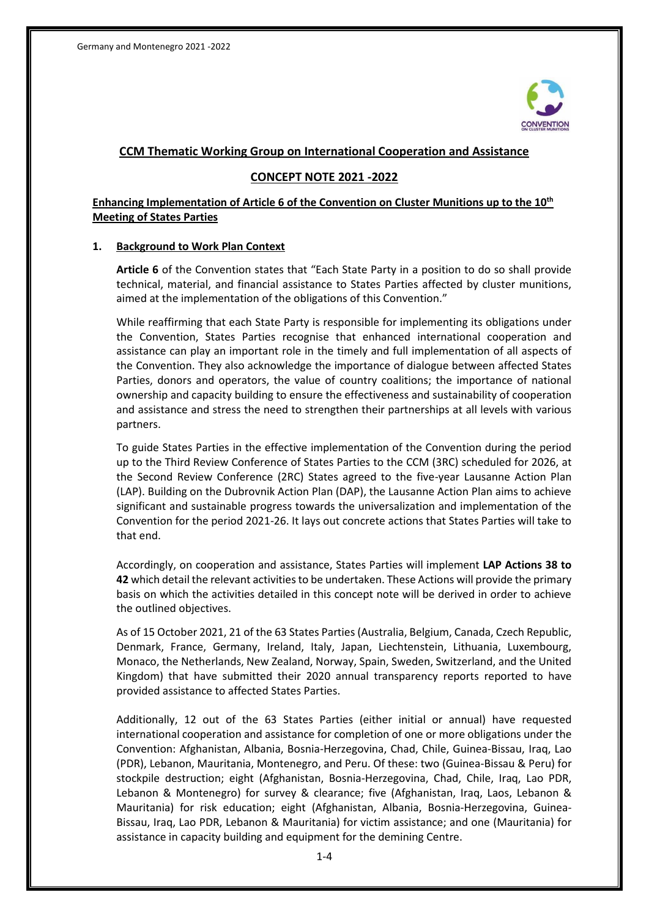

### **CCM Thematic Working Group on International Cooperation and Assistance**

## **CONCEPT NOTE 2021 -2022**

### **Enhancing Implementation of Article 6 of the Convention on Cluster Munitions up to the 10th Meeting of States Parties**

#### **1. Background to Work Plan Context**

**Article 6** of the Convention states that "Each State Party in a position to do so shall provide technical, material, and financial assistance to States Parties affected by cluster munitions, aimed at the implementation of the obligations of this Convention."

While reaffirming that each State Party is responsible for implementing its obligations under the Convention, States Parties recognise that enhanced international cooperation and assistance can play an important role in the timely and full implementation of all aspects of the Convention. They also acknowledge the importance of dialogue between affected States Parties, donors and operators, the value of country coalitions; the importance of national ownership and capacity building to ensure the effectiveness and sustainability of cooperation and assistance and stress the need to strengthen their partnerships at all levels with various partners.

To guide States Parties in the effective implementation of the Convention during the period up to the Third Review Conference of States Parties to the CCM (3RC) scheduled for 2026, at the Second Review Conference (2RC) States agreed to the five-year Lausanne Action Plan (LAP). Building on the Dubrovnik Action Plan (DAP), the Lausanne Action Plan aims to achieve significant and sustainable progress towards the universalization and implementation of the Convention for the period 2021-26. It lays out concrete actions that States Parties will take to that end.

Accordingly, on cooperation and assistance, States Parties will implement **LAP Actions 38 to 42** which detail the relevant activities to be undertaken. These Actions will provide the primary basis on which the activities detailed in this concept note will be derived in order to achieve the outlined objectives.

As of 15 October 2021, 21 of the 63 States Parties (Australia, Belgium, Canada, Czech Republic, Denmark, France, Germany, Ireland, Italy, Japan, Liechtenstein, Lithuania, Luxembourg, Monaco, the Netherlands, New Zealand, Norway, Spain, Sweden, Switzerland, and the United Kingdom) that have submitted their 2020 annual transparency reports reported to have provided assistance to affected States Parties.

Additionally, 12 out of the 63 States Parties (either initial or annual) have requested international cooperation and assistance for completion of one or more obligations under the Convention: Afghanistan, Albania, Bosnia-Herzegovina, Chad, Chile, Guinea-Bissau, Iraq, Lao (PDR), Lebanon, Mauritania, Montenegro, and Peru. Of these: two (Guinea-Bissau & Peru) for stockpile destruction; eight (Afghanistan, Bosnia-Herzegovina, Chad, Chile, Iraq, Lao PDR, Lebanon & Montenegro) for survey & clearance; five (Afghanistan, Iraq, Laos, Lebanon & Mauritania) for risk education; eight (Afghanistan, Albania, Bosnia-Herzegovina, Guinea-Bissau, Iraq, Lao PDR, Lebanon & Mauritania) for victim assistance; and one (Mauritania) for assistance in capacity building and equipment for the demining Centre.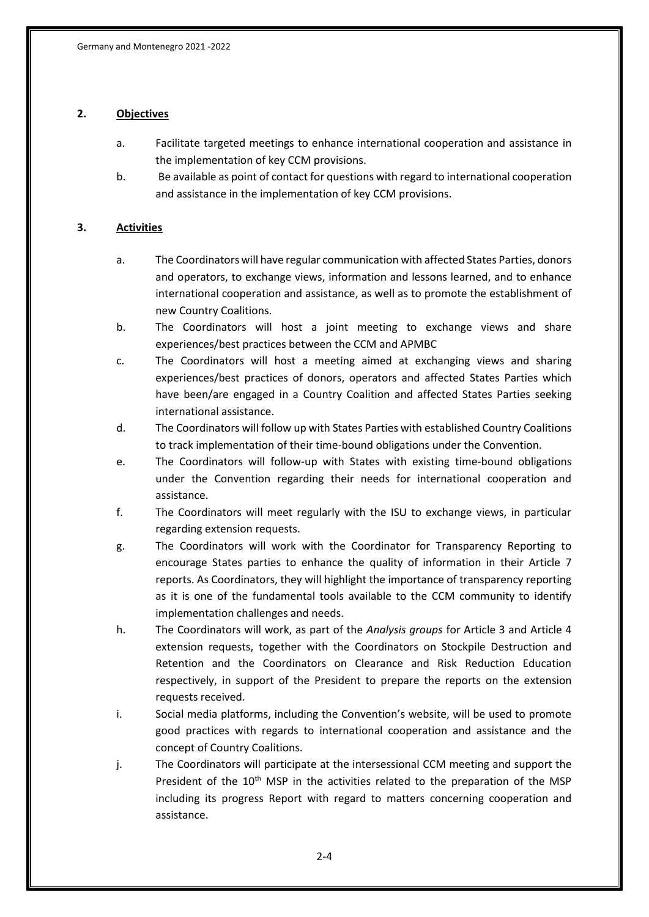# **2. Objectives**

- a. Facilitate targeted meetings to enhance international cooperation and assistance in the implementation of key CCM provisions.
- b. Be available as point of contact for questions with regard to international cooperation and assistance in the implementation of key CCM provisions.

# **3. Activities**

- a. The Coordinators will have regular communication with affected States Parties, donors and operators, to exchange views, information and lessons learned, and to enhance international cooperation and assistance, as well as to promote the establishment of new Country Coalitions.
- b. The Coordinators will host a joint meeting to exchange views and share experiences/best practices between the CCM and APMBC
- c. The Coordinators will host a meeting aimed at exchanging views and sharing experiences/best practices of donors, operators and affected States Parties which have been/are engaged in a Country Coalition and affected States Parties seeking international assistance.
- d. The Coordinators will follow up with States Parties with established Country Coalitions to track implementation of their time-bound obligations under the Convention.
- e. The Coordinators will follow-up with States with existing time-bound obligations under the Convention regarding their needs for international cooperation and assistance.
- f. The Coordinators will meet regularly with the ISU to exchange views, in particular regarding extension requests.
- g. The Coordinators will work with the Coordinator for Transparency Reporting to encourage States parties to enhance the quality of information in their Article 7 reports. As Coordinators, they will highlight the importance of transparency reporting as it is one of the fundamental tools available to the CCM community to identify implementation challenges and needs.
- h. The Coordinators will work, as part of the *Analysis groups* for Article 3 and Article 4 extension requests, together with the Coordinators on Stockpile Destruction and Retention and the Coordinators on Clearance and Risk Reduction Education respectively, in support of the President to prepare the reports on the extension requests received.
- i. Social media platforms, including the Convention's website, will be used to promote good practices with regards to international cooperation and assistance and the concept of Country Coalitions.
- j. The Coordinators will participate at the intersessional CCM meeting and support the President of the  $10<sup>th</sup>$  MSP in the activities related to the preparation of the MSP including its progress Report with regard to matters concerning cooperation and assistance.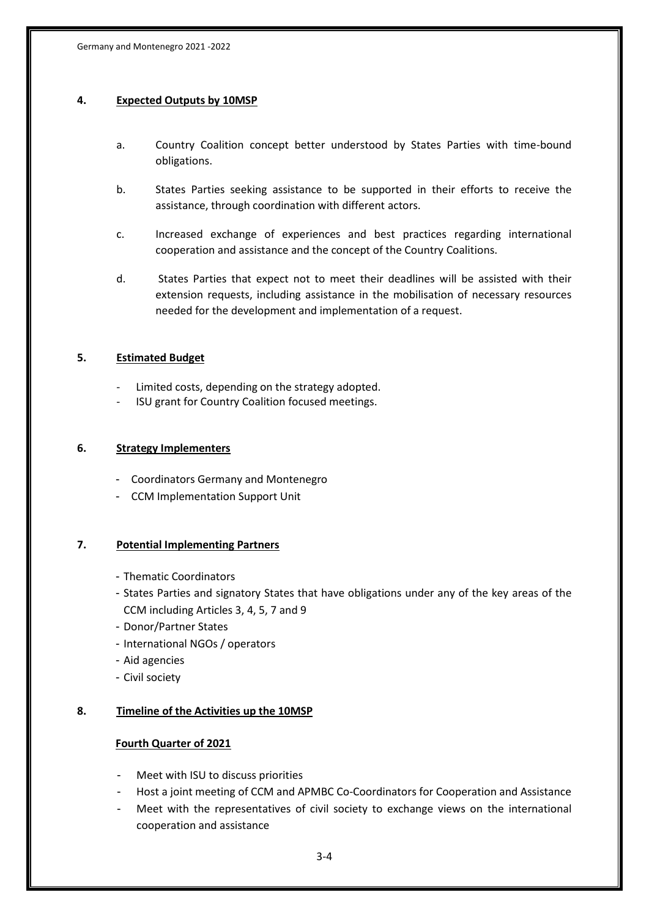# **4. Expected Outputs by 10MSP**

- a. Country Coalition concept better understood by States Parties with time-bound obligations.
- b. States Parties seeking assistance to be supported in their efforts to receive the assistance, through coordination with different actors.
- c. Increased exchange of experiences and best practices regarding international cooperation and assistance and the concept of the Country Coalitions.
- d. States Parties that expect not to meet their deadlines will be assisted with their extension requests, including assistance in the mobilisation of necessary resources needed for the development and implementation of a request.

## **5. Estimated Budget**

- Limited costs, depending on the strategy adopted.
- ISU grant for Country Coalition focused meetings.

# **6. Strategy Implementers**

- Coordinators Germany and Montenegro
- CCM Implementation Support Unit

# **7. Potential Implementing Partners**

- Thematic Coordinators
- States Parties and signatory States that have obligations under any of the key areas of the CCM including Articles 3, 4, 5, 7 and 9
- Donor/Partner States
- International NGOs / operators
- Aid agencies
- Civil society

### **8. Timeline of the Activities up the 10MSP**

### **Fourth Quarter of 2021**

- Meet with ISU to discuss priorities
- Host a joint meeting of CCM and APMBC Co-Coordinators for Cooperation and Assistance
- Meet with the representatives of civil society to exchange views on the international cooperation and assistance